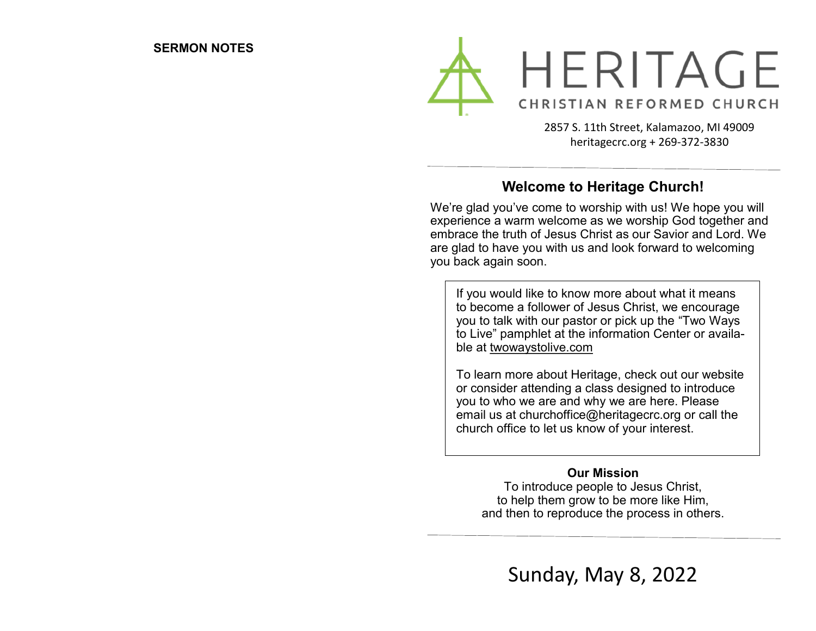

2857 S. 11th Street, Kalamazoo, MI 49009 heritagecrc.org + 269-372-3830

## **Welcome to Heritage Church!**

We're glad you've come to worship with us! We hope you will experience a warm welcome as we worship God together and embrace the truth of Jesus Christ as our Savior and Lord. We are glad to have you with us and look forward to welcoming you back again soon.

If you would like to know more about what it means to become a follower of Jesus Christ, we encourage you to talk with our pastor or pick up the "Two Ways to Live" pamphlet at the information Center or available at twowaystolive.com

To learn more about Heritage, check out our website or consider attending a class designed to introduce you to who we are and why we are here. Please email us at churchoffice@heritagecrc.org or call the church office to let us know of your interest.

#### **Our Mission**

To introduce people to Jesus Christ, to help them grow to be more like Him, and then to reproduce the process in others.

Sunday, May 8, 2022